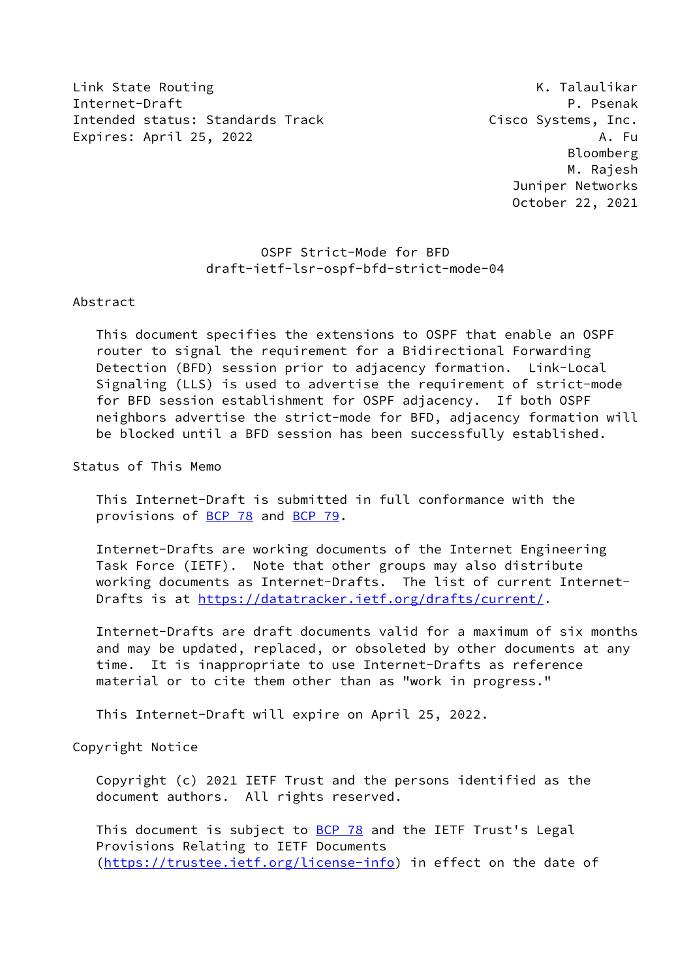Link State Routing The Communication of the Communication of the K. Talaulikar Internet-Draft P. Psenak Intended status: Standards Track Cisco Systems, Inc. Expires: April 25, 2022 A. Fu

 Bloomberg M. Rajesh Juniper Networks October 22, 2021

# OSPF Strict-Mode for BFD draft-ietf-lsr-ospf-bfd-strict-mode-04

### Abstract

 This document specifies the extensions to OSPF that enable an OSPF router to signal the requirement for a Bidirectional Forwarding Detection (BFD) session prior to adjacency formation. Link-Local Signaling (LLS) is used to advertise the requirement of strict-mode for BFD session establishment for OSPF adjacency. If both OSPF neighbors advertise the strict-mode for BFD, adjacency formation will be blocked until a BFD session has been successfully established.

Status of This Memo

 This Internet-Draft is submitted in full conformance with the provisions of [BCP 78](https://datatracker.ietf.org/doc/pdf/bcp78) and [BCP 79](https://datatracker.ietf.org/doc/pdf/bcp79).

 Internet-Drafts are working documents of the Internet Engineering Task Force (IETF). Note that other groups may also distribute working documents as Internet-Drafts. The list of current Internet- Drafts is at<https://datatracker.ietf.org/drafts/current/>.

 Internet-Drafts are draft documents valid for a maximum of six months and may be updated, replaced, or obsoleted by other documents at any time. It is inappropriate to use Internet-Drafts as reference material or to cite them other than as "work in progress."

This Internet-Draft will expire on April 25, 2022.

Copyright Notice

 Copyright (c) 2021 IETF Trust and the persons identified as the document authors. All rights reserved.

This document is subject to **[BCP 78](https://datatracker.ietf.org/doc/pdf/bcp78)** and the IETF Trust's Legal Provisions Relating to IETF Documents [\(https://trustee.ietf.org/license-info](https://trustee.ietf.org/license-info)) in effect on the date of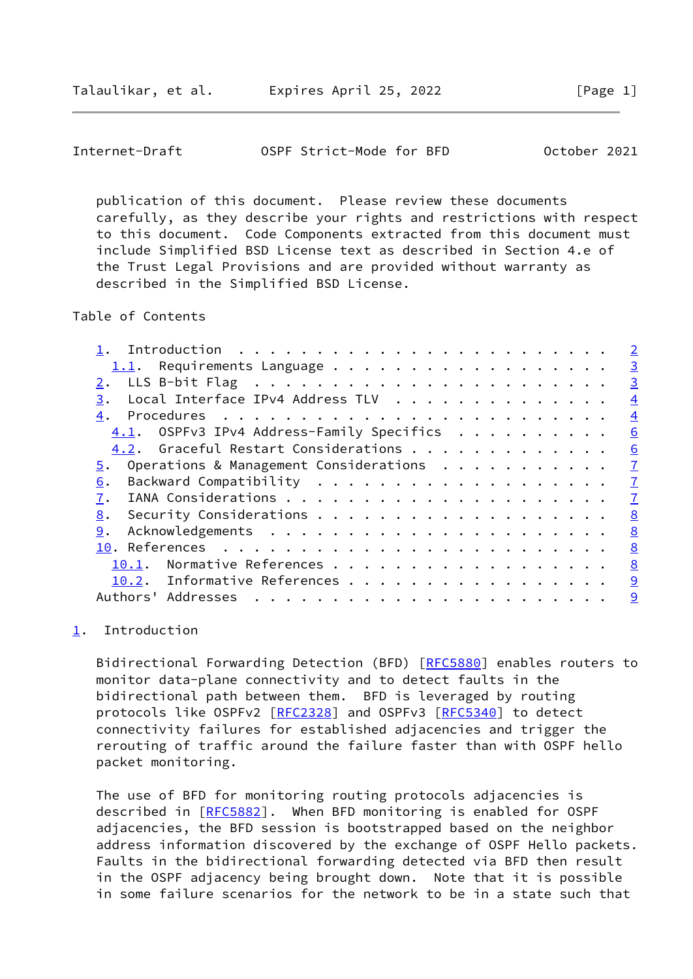<span id="page-1-1"></span>Internet-Draft OSPF Strict-Mode for BFD October 2021

 publication of this document. Please review these documents carefully, as they describe your rights and restrictions with respect to this document. Code Components extracted from this document must include Simplified BSD License text as described in Section 4.e of the Trust Legal Provisions and are provided without warranty as described in the Simplified BSD License.

Table of Contents

|                                              | $\overline{2}$ |
|----------------------------------------------|----------------|
| $1.1$ . Requirements Language                | $\overline{3}$ |
|                                              | $\overline{3}$ |
| Local Interface IPv4 Address TLV<br>3.       | $\overline{4}$ |
| 4.                                           | $\overline{4}$ |
| $4.1.$ OSPFv3 IPv4 Address-Family Specifics  | 6              |
| 4.2. Graceful Restart Considerations         | 6              |
| Operations & Management Considerations<br>5. | $\mathbf I$    |
| 6.                                           | $\overline{1}$ |
| 7.                                           | $\overline{1}$ |
| 8.                                           | 8              |
| 9.                                           | 8              |
|                                              | 8              |
| Normative References<br>10.1.                | 8              |
| 10.2. Informative References                 | 9              |
| Authors' Addresses<br>.                      | $\overline{9}$ |
|                                              |                |

## <span id="page-1-0"></span>[1](#page-1-0). Introduction

Bidirectional Forwarding Detection (BFD) [\[RFC5880](https://datatracker.ietf.org/doc/pdf/rfc5880)] enables routers to monitor data-plane connectivity and to detect faults in the bidirectional path between them. BFD is leveraged by routing protocols like OSPFv2 [[RFC2328](https://datatracker.ietf.org/doc/pdf/rfc2328)] and OSPFv3 [[RFC5340\]](https://datatracker.ietf.org/doc/pdf/rfc5340) to detect connectivity failures for established adjacencies and trigger the rerouting of traffic around the failure faster than with OSPF hello packet monitoring.

 The use of BFD for monitoring routing protocols adjacencies is described in [\[RFC5882](https://datatracker.ietf.org/doc/pdf/rfc5882)]. When BFD monitoring is enabled for OSPF adjacencies, the BFD session is bootstrapped based on the neighbor address information discovered by the exchange of OSPF Hello packets. Faults in the bidirectional forwarding detected via BFD then result in the OSPF adjacency being brought down. Note that it is possible in some failure scenarios for the network to be in a state such that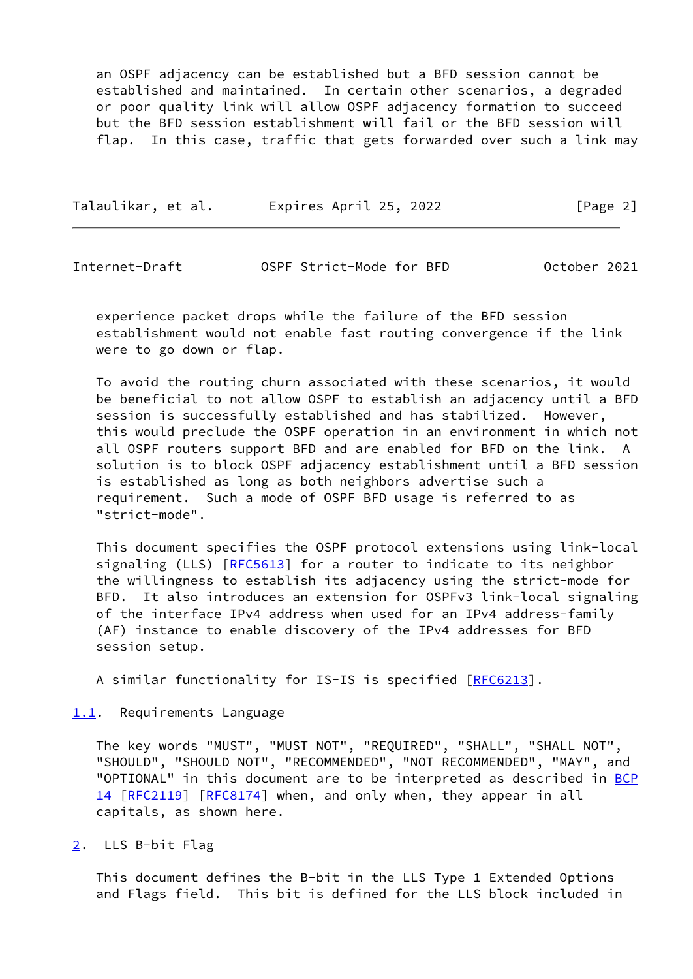an OSPF adjacency can be established but a BFD session cannot be established and maintained. In certain other scenarios, a degraded or poor quality link will allow OSPF adjacency formation to succeed but the BFD session establishment will fail or the BFD session will flap. In this case, traffic that gets forwarded over such a link may

| Talaulikar, et al. | Expires April 25, 2022 | [Page 2] |
|--------------------|------------------------|----------|
|                    |                        |          |

<span id="page-2-1"></span>Internet-Draft OSPF Strict-Mode for BFD October 2021

 experience packet drops while the failure of the BFD session establishment would not enable fast routing convergence if the link were to go down or flap.

 To avoid the routing churn associated with these scenarios, it would be beneficial to not allow OSPF to establish an adjacency until a BFD session is successfully established and has stabilized. However, this would preclude the OSPF operation in an environment in which not all OSPF routers support BFD and are enabled for BFD on the link. A solution is to block OSPF adjacency establishment until a BFD session is established as long as both neighbors advertise such a requirement. Such a mode of OSPF BFD usage is referred to as "strict-mode".

 This document specifies the OSPF protocol extensions using link-local signaling (LLS) [\[RFC5613](https://datatracker.ietf.org/doc/pdf/rfc5613)] for a router to indicate to its neighbor the willingness to establish its adjacency using the strict-mode for BFD. It also introduces an extension for OSPFv3 link-local signaling of the interface IPv4 address when used for an IPv4 address-family (AF) instance to enable discovery of the IPv4 addresses for BFD session setup.

A similar functionality for IS-IS is specified [\[RFC6213](https://datatracker.ietf.org/doc/pdf/rfc6213)].

<span id="page-2-0"></span>[1.1](#page-2-0). Requirements Language

 The key words "MUST", "MUST NOT", "REQUIRED", "SHALL", "SHALL NOT", "SHOULD", "SHOULD NOT", "RECOMMENDED", "NOT RECOMMENDED", "MAY", and "OPTIONAL" in this document are to be interpreted as described in [BCP](https://datatracker.ietf.org/doc/pdf/bcp14) [14](https://datatracker.ietf.org/doc/pdf/bcp14) [[RFC2119\]](https://datatracker.ietf.org/doc/pdf/rfc2119) [\[RFC8174](https://datatracker.ietf.org/doc/pdf/rfc8174)] when, and only when, they appear in all capitals, as shown here.

<span id="page-2-2"></span>[2](#page-2-2). LLS B-bit Flag

 This document defines the B-bit in the LLS Type 1 Extended Options and Flags field. This bit is defined for the LLS block included in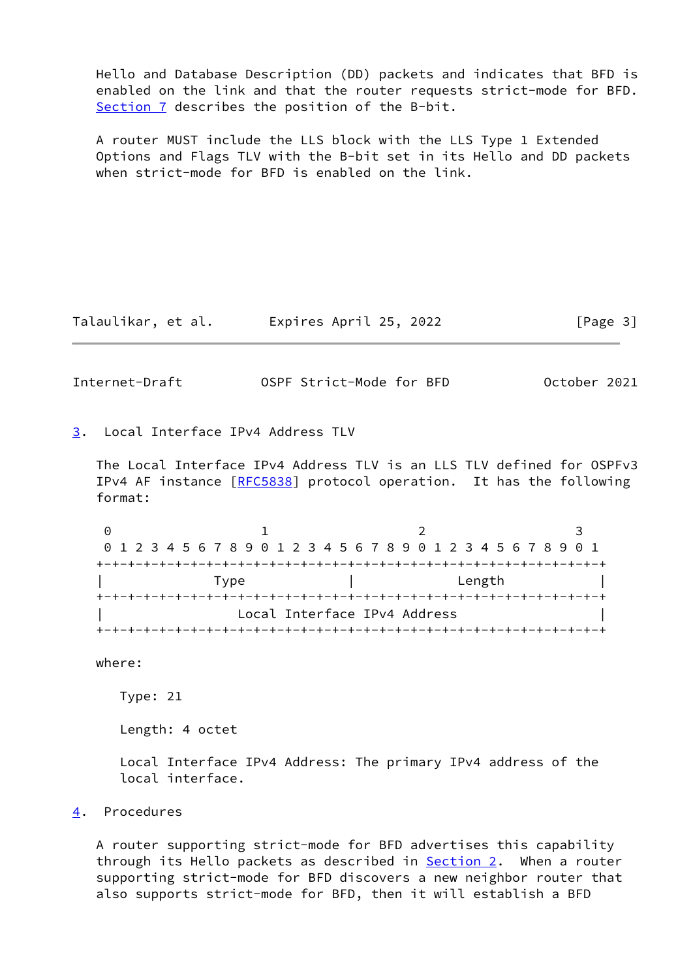Hello and Database Description (DD) packets and indicates that BFD is enabled on the link and that the router requests strict-mode for BFD. [Section 7](#page-7-1) describes the position of the B-bit.

 A router MUST include the LLS block with the LLS Type 1 Extended Options and Flags TLV with the B-bit set in its Hello and DD packets when strict-mode for BFD is enabled on the link.

Talaulikar, et al. Expires April 25, 2022 [Page 3]

<span id="page-3-1"></span>Internet-Draft OSPF Strict-Mode for BFD October 2021

<span id="page-3-0"></span>[3](#page-3-0). Local Interface IPv4 Address TLV

 The Local Interface IPv4 Address TLV is an LLS TLV defined for OSPFv3 IPv4 AF instance [\[RFC5838](https://datatracker.ietf.org/doc/pdf/rfc5838)] protocol operation. It has the following format:

0 1 2 3 0 1 2 3 4 5 6 7 8 9 0 1 2 3 4 5 6 7 8 9 0 1 2 3 4 5 6 7 8 9 0 1 +-+-+-+-+-+-+-+-+-+-+-+-+-+-+-+-+-+-+-+-+-+-+-+-+-+-+-+-+-+-+-+-+ | Type | Length | +-+-+-+-+-+-+-+-+-+-+-+-+-+-+-+-+-+-+-+-+-+-+-+-+-+-+-+-+-+-+-+-+ Local Interface IPv4 Address +-+-+-+-+-+-+-+-+-+-+-+-+-+-+-+-+-+-+-+-+-+-+-+-+-+-+-+-+-+-+-+-+

where:

Type: 21

Length: 4 octet

 Local Interface IPv4 Address: The primary IPv4 address of the local interface.

<span id="page-3-2"></span>[4](#page-3-2). Procedures

 A router supporting strict-mode for BFD advertises this capability through its Hello packets as described in **Section 2.** When a router supporting strict-mode for BFD discovers a new neighbor router that also supports strict-mode for BFD, then it will establish a BFD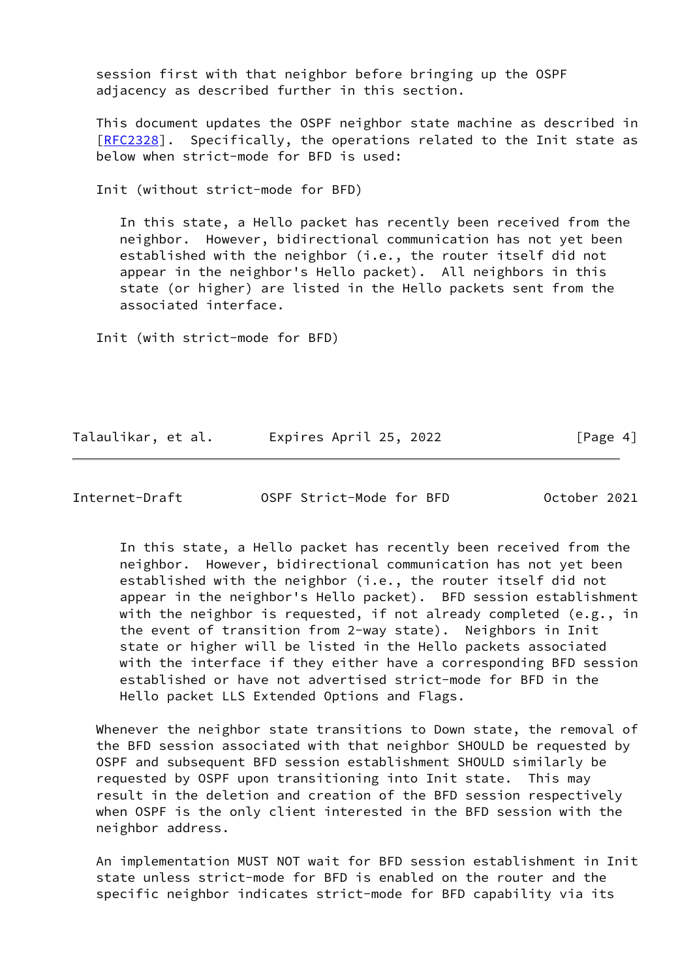session first with that neighbor before bringing up the OSPF adjacency as described further in this section.

 This document updates the OSPF neighbor state machine as described in [\[RFC2328](https://datatracker.ietf.org/doc/pdf/rfc2328)]. Specifically, the operations related to the Init state as below when strict-mode for BFD is used:

Init (without strict-mode for BFD)

 In this state, a Hello packet has recently been received from the neighbor. However, bidirectional communication has not yet been established with the neighbor (i.e., the router itself did not appear in the neighbor's Hello packet). All neighbors in this state (or higher) are listed in the Hello packets sent from the associated interface.

Init (with strict-mode for BFD)

Talaulikar, et al. Expires April 25, 2022 [Page 4]

Internet-Draft OSPF Strict-Mode for BFD October 2021

 In this state, a Hello packet has recently been received from the neighbor. However, bidirectional communication has not yet been established with the neighbor (i.e., the router itself did not appear in the neighbor's Hello packet). BFD session establishment with the neighbor is requested, if not already completed (e.g., in the event of transition from 2-way state). Neighbors in Init state or higher will be listed in the Hello packets associated with the interface if they either have a corresponding BFD session established or have not advertised strict-mode for BFD in the Hello packet LLS Extended Options and Flags.

 Whenever the neighbor state transitions to Down state, the removal of the BFD session associated with that neighbor SHOULD be requested by OSPF and subsequent BFD session establishment SHOULD similarly be requested by OSPF upon transitioning into Init state. This may result in the deletion and creation of the BFD session respectively when OSPF is the only client interested in the BFD session with the neighbor address.

 An implementation MUST NOT wait for BFD session establishment in Init state unless strict-mode for BFD is enabled on the router and the specific neighbor indicates strict-mode for BFD capability via its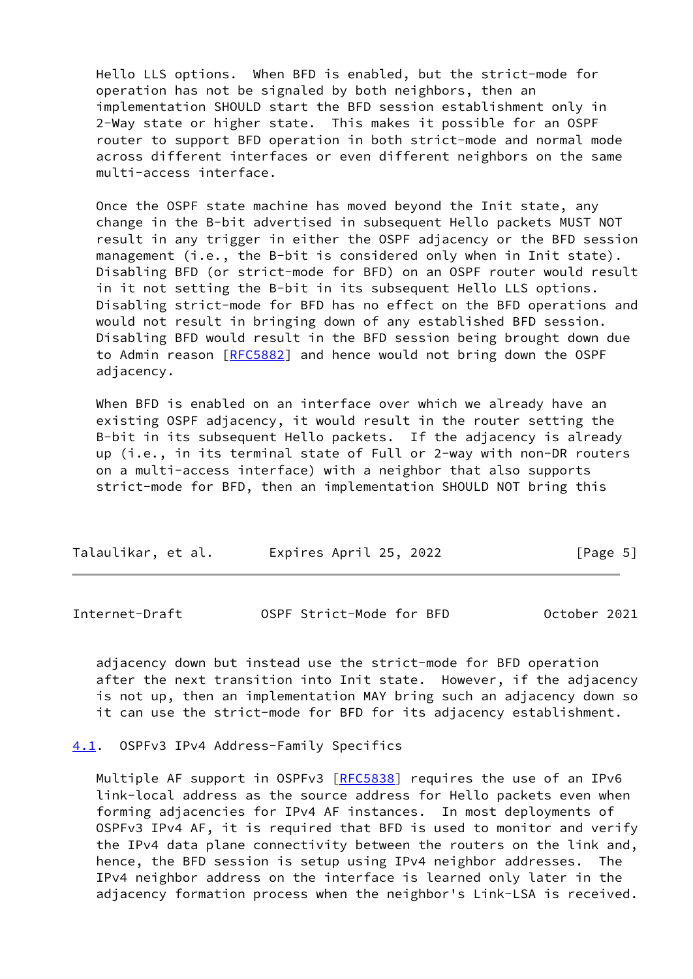Hello LLS options. When BFD is enabled, but the strict-mode for operation has not be signaled by both neighbors, then an implementation SHOULD start the BFD session establishment only in 2-Way state or higher state. This makes it possible for an OSPF router to support BFD operation in both strict-mode and normal mode across different interfaces or even different neighbors on the same multi-access interface.

 Once the OSPF state machine has moved beyond the Init state, any change in the B-bit advertised in subsequent Hello packets MUST NOT result in any trigger in either the OSPF adjacency or the BFD session management (i.e., the B-bit is considered only when in Init state). Disabling BFD (or strict-mode for BFD) on an OSPF router would result in it not setting the B-bit in its subsequent Hello LLS options. Disabling strict-mode for BFD has no effect on the BFD operations and would not result in bringing down of any established BFD session. Disabling BFD would result in the BFD session being brought down due to Admin reason [\[RFC5882](https://datatracker.ietf.org/doc/pdf/rfc5882)] and hence would not bring down the OSPF adjacency.

 When BFD is enabled on an interface over which we already have an existing OSPF adjacency, it would result in the router setting the B-bit in its subsequent Hello packets. If the adjacency is already up (i.e., in its terminal state of Full or 2-way with non-DR routers on a multi-access interface) with a neighbor that also supports strict-mode for BFD, then an implementation SHOULD NOT bring this

| Talaulikar, et al. | Expires April 25, 2022 | [Page 5] |
|--------------------|------------------------|----------|
|--------------------|------------------------|----------|

<span id="page-5-1"></span>Internet-Draft OSPF Strict-Mode for BFD October 2021

 adjacency down but instead use the strict-mode for BFD operation after the next transition into Init state. However, if the adjacency is not up, then an implementation MAY bring such an adjacency down so it can use the strict-mode for BFD for its adjacency establishment.

<span id="page-5-0"></span>[4.1](#page-5-0). OSPFv3 IPv4 Address-Family Specifics

Multiple AF support in OSPFv3 [[RFC5838](https://datatracker.ietf.org/doc/pdf/rfc5838)] requires the use of an IPv6 link-local address as the source address for Hello packets even when forming adjacencies for IPv4 AF instances. In most deployments of OSPFv3 IPv4 AF, it is required that BFD is used to monitor and verify the IPv4 data plane connectivity between the routers on the link and, hence, the BFD session is setup using IPv4 neighbor addresses. The IPv4 neighbor address on the interface is learned only later in the adjacency formation process when the neighbor's Link-LSA is received.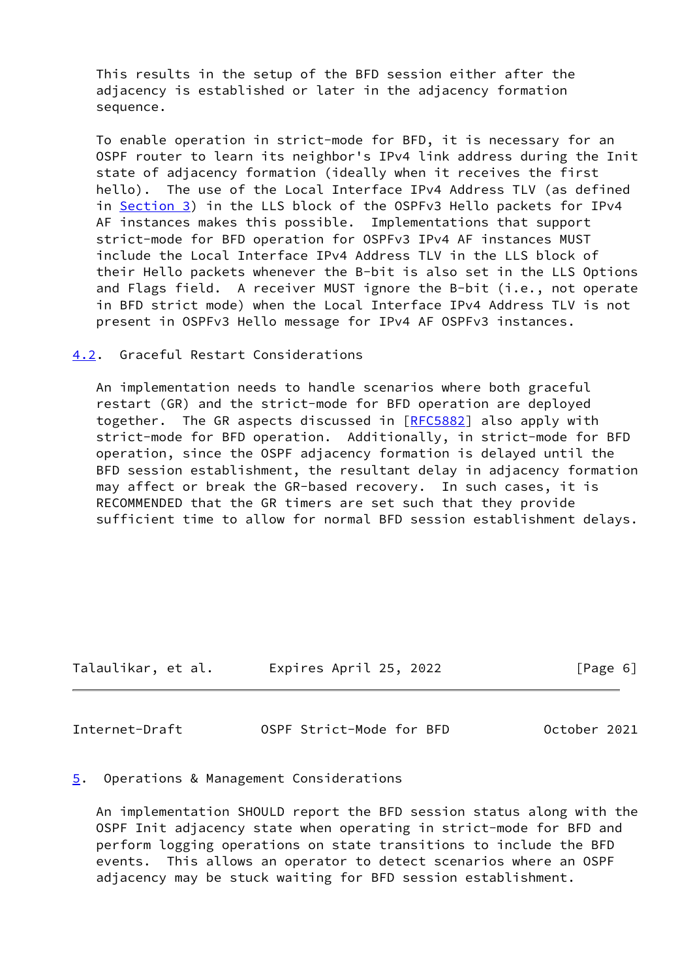This results in the setup of the BFD session either after the adjacency is established or later in the adjacency formation sequence.

 To enable operation in strict-mode for BFD, it is necessary for an OSPF router to learn its neighbor's IPv4 link address during the Init state of adjacency formation (ideally when it receives the first hello). The use of the Local Interface IPv4 Address TLV (as defined in [Section 3\)](#page-3-0) in the LLS block of the OSPFv3 Hello packets for IPv4 AF instances makes this possible. Implementations that support strict-mode for BFD operation for OSPFv3 IPv4 AF instances MUST include the Local Interface IPv4 Address TLV in the LLS block of their Hello packets whenever the B-bit is also set in the LLS Options and Flags field. A receiver MUST ignore the B-bit (i.e., not operate in BFD strict mode) when the Local Interface IPv4 Address TLV is not present in OSPFv3 Hello message for IPv4 AF OSPFv3 instances.

### <span id="page-6-0"></span>[4.2](#page-6-0). Graceful Restart Considerations

 An implementation needs to handle scenarios where both graceful restart (GR) and the strict-mode for BFD operation are deployed together. The GR aspects discussed in [\[RFC5882](https://datatracker.ietf.org/doc/pdf/rfc5882)] also apply with strict-mode for BFD operation. Additionally, in strict-mode for BFD operation, since the OSPF adjacency formation is delayed until the BFD session establishment, the resultant delay in adjacency formation may affect or break the GR-based recovery. In such cases, it is RECOMMENDED that the GR timers are set such that they provide sufficient time to allow for normal BFD session establishment delays.

| Talaulikar, et al. | Expires April 25, 2022 | [Page 6] |
|--------------------|------------------------|----------|

<span id="page-6-2"></span>Internet-Draft OSPF Strict-Mode for BFD October 2021

#### <span id="page-6-1"></span>[5](#page-6-1). Operations & Management Considerations

 An implementation SHOULD report the BFD session status along with the OSPF Init adjacency state when operating in strict-mode for BFD and perform logging operations on state transitions to include the BFD events. This allows an operator to detect scenarios where an OSPF adjacency may be stuck waiting for BFD session establishment.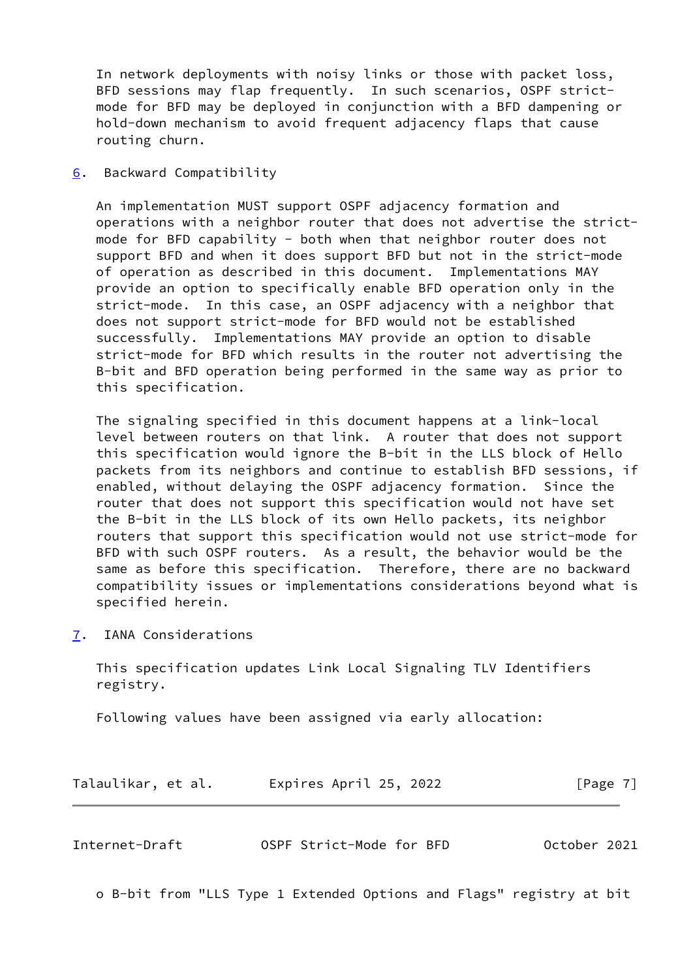In network deployments with noisy links or those with packet loss, BFD sessions may flap frequently. In such scenarios, OSPF strict mode for BFD may be deployed in conjunction with a BFD dampening or hold-down mechanism to avoid frequent adjacency flaps that cause routing churn.

<span id="page-7-0"></span>[6](#page-7-0). Backward Compatibility

 An implementation MUST support OSPF adjacency formation and operations with a neighbor router that does not advertise the strict mode for BFD capability - both when that neighbor router does not support BFD and when it does support BFD but not in the strict-mode of operation as described in this document. Implementations MAY provide an option to specifically enable BFD operation only in the strict-mode. In this case, an OSPF adjacency with a neighbor that does not support strict-mode for BFD would not be established successfully. Implementations MAY provide an option to disable strict-mode for BFD which results in the router not advertising the B-bit and BFD operation being performed in the same way as prior to this specification.

 The signaling specified in this document happens at a link-local level between routers on that link. A router that does not support this specification would ignore the B-bit in the LLS block of Hello packets from its neighbors and continue to establish BFD sessions, if enabled, without delaying the OSPF adjacency formation. Since the router that does not support this specification would not have set the B-bit in the LLS block of its own Hello packets, its neighbor routers that support this specification would not use strict-mode for BFD with such OSPF routers. As a result, the behavior would be the same as before this specification. Therefore, there are no backward compatibility issues or implementations considerations beyond what is specified herein.

<span id="page-7-1"></span>[7](#page-7-1). IANA Considerations

 This specification updates Link Local Signaling TLV Identifiers registry.

Following values have been assigned via early allocation:

Talaulikar, et al. Expires April 25, 2022 [Page 7]

<span id="page-7-2"></span>

|  | Internet-Draft | OSPF Strict-Mode for BFD | October 2021 |
|--|----------------|--------------------------|--------------|
|--|----------------|--------------------------|--------------|

o B-bit from "LLS Type 1 Extended Options and Flags" registry at bit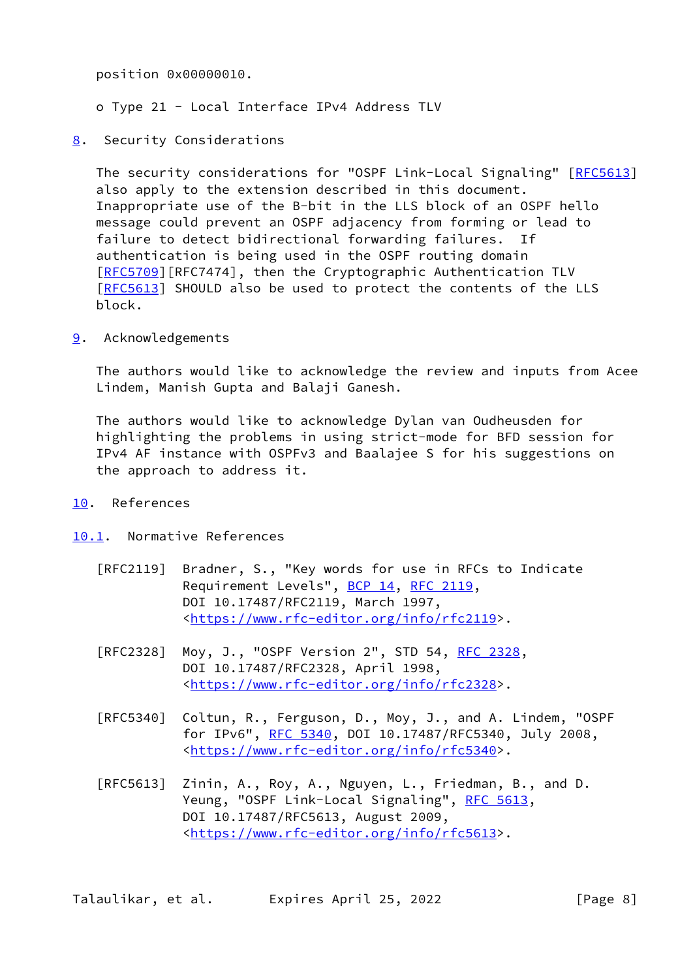position 0x00000010.

o Type 21 - Local Interface IPv4 Address TLV

- 
- <span id="page-8-0"></span>[8](#page-8-0). Security Considerations

 The security considerations for "OSPF Link-Local Signaling" [\[RFC5613](https://datatracker.ietf.org/doc/pdf/rfc5613)] also apply to the extension described in this document. Inappropriate use of the B-bit in the LLS block of an OSPF hello message could prevent an OSPF adjacency from forming or lead to failure to detect bidirectional forwarding failures. If authentication is being used in the OSPF routing domain [\[RFC5709](https://datatracker.ietf.org/doc/pdf/rfc5709)][RFC7474], then the Cryptographic Authentication TLV [\[RFC5613](https://datatracker.ietf.org/doc/pdf/rfc5613)] SHOULD also be used to protect the contents of the LLS block.

<span id="page-8-1"></span>[9](#page-8-1). Acknowledgements

 The authors would like to acknowledge the review and inputs from Acee Lindem, Manish Gupta and Balaji Ganesh.

 The authors would like to acknowledge Dylan van Oudheusden for highlighting the problems in using strict-mode for BFD session for IPv4 AF instance with OSPFv3 and Baalajee S for his suggestions on the approach to address it.

- <span id="page-8-2"></span>[10.](#page-8-2) References
- <span id="page-8-3"></span>[10.1](#page-8-3). Normative References
	- [RFC2119] Bradner, S., "Key words for use in RFCs to Indicate Requirement Levels", [BCP 14](https://datatracker.ietf.org/doc/pdf/bcp14), [RFC 2119](https://datatracker.ietf.org/doc/pdf/rfc2119), DOI 10.17487/RFC2119, March 1997, <[https://www.rfc-editor.org/info/rfc2119>](https://www.rfc-editor.org/info/rfc2119).
	- [RFC2328] Moy, J., "OSPF Version 2", STD 54, [RFC 2328](https://datatracker.ietf.org/doc/pdf/rfc2328), DOI 10.17487/RFC2328, April 1998, <[https://www.rfc-editor.org/info/rfc2328>](https://www.rfc-editor.org/info/rfc2328).
	- [RFC5340] Coltun, R., Ferguson, D., Moy, J., and A. Lindem, "OSPF for IPv6", [RFC 5340](https://datatracker.ietf.org/doc/pdf/rfc5340), DOI 10.17487/RFC5340, July 2008, <[https://www.rfc-editor.org/info/rfc5340>](https://www.rfc-editor.org/info/rfc5340).
	- [RFC5613] Zinin, A., Roy, A., Nguyen, L., Friedman, B., and D. Yeung, "OSPF Link-Local Signaling", [RFC 5613,](https://datatracker.ietf.org/doc/pdf/rfc5613) DOI 10.17487/RFC5613, August 2009, <[https://www.rfc-editor.org/info/rfc5613>](https://www.rfc-editor.org/info/rfc5613).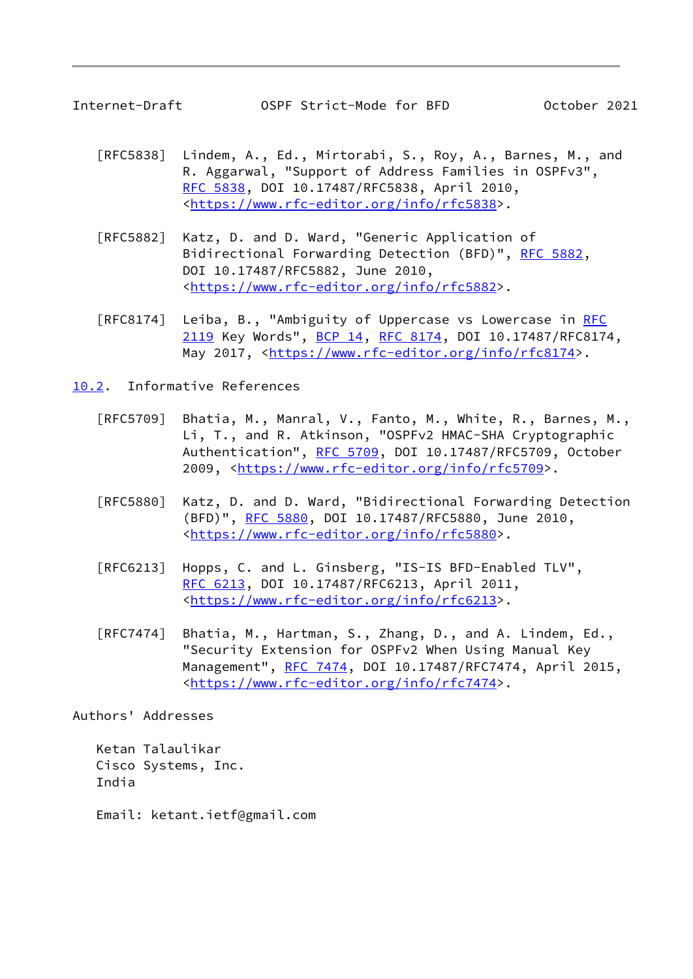<span id="page-9-1"></span>

- [RFC5838] Lindem, A., Ed., Mirtorabi, S., Roy, A., Barnes, M., and R. Aggarwal, "Support of Address Families in OSPFv3", [RFC 5838,](https://datatracker.ietf.org/doc/pdf/rfc5838) DOI 10.17487/RFC5838, April 2010, <[https://www.rfc-editor.org/info/rfc5838>](https://www.rfc-editor.org/info/rfc5838).
- [RFC5882] Katz, D. and D. Ward, "Generic Application of Bidirectional Forwarding Detection (BFD)", [RFC 5882](https://datatracker.ietf.org/doc/pdf/rfc5882), DOI 10.17487/RFC5882, June 2010, <[https://www.rfc-editor.org/info/rfc5882>](https://www.rfc-editor.org/info/rfc5882).
- [RFC8174] Leiba, B., "Ambiguity of Uppercase vs Lowercase in [RFC](https://datatracker.ietf.org/doc/pdf/rfc2119) [2119](https://datatracker.ietf.org/doc/pdf/rfc2119) Key Words", [BCP 14](https://datatracker.ietf.org/doc/pdf/bcp14), [RFC 8174,](https://datatracker.ietf.org/doc/pdf/rfc8174) DOI 10.17487/RFC8174, May 2017, [<https://www.rfc-editor.org/info/rfc8174](https://www.rfc-editor.org/info/rfc8174)>.

<span id="page-9-0"></span>[10.2](#page-9-0). Informative References

- [RFC5709] Bhatia, M., Manral, V., Fanto, M., White, R., Barnes, M., Li, T., and R. Atkinson, "OSPFv2 HMAC-SHA Cryptographic Authentication", [RFC 5709,](https://datatracker.ietf.org/doc/pdf/rfc5709) DOI 10.17487/RFC5709, October 2009, [<https://www.rfc-editor.org/info/rfc5709](https://www.rfc-editor.org/info/rfc5709)>.
- [RFC5880] Katz, D. and D. Ward, "Bidirectional Forwarding Detection (BFD)", [RFC 5880,](https://datatracker.ietf.org/doc/pdf/rfc5880) DOI 10.17487/RFC5880, June 2010, <[https://www.rfc-editor.org/info/rfc5880>](https://www.rfc-editor.org/info/rfc5880).
- [RFC6213] Hopps, C. and L. Ginsberg, "IS-IS BFD-Enabled TLV", [RFC 6213,](https://datatracker.ietf.org/doc/pdf/rfc6213) DOI 10.17487/RFC6213, April 2011, <[https://www.rfc-editor.org/info/rfc6213>](https://www.rfc-editor.org/info/rfc6213).
- [RFC7474] Bhatia, M., Hartman, S., Zhang, D., and A. Lindem, Ed., "Security Extension for OSPFv2 When Using Manual Key Management", [RFC 7474](https://datatracker.ietf.org/doc/pdf/rfc7474), DOI 10.17487/RFC7474, April 2015, <[https://www.rfc-editor.org/info/rfc7474>](https://www.rfc-editor.org/info/rfc7474).

Authors' Addresses

 Ketan Talaulikar Cisco Systems, Inc. India

Email: ketant.ietf@gmail.com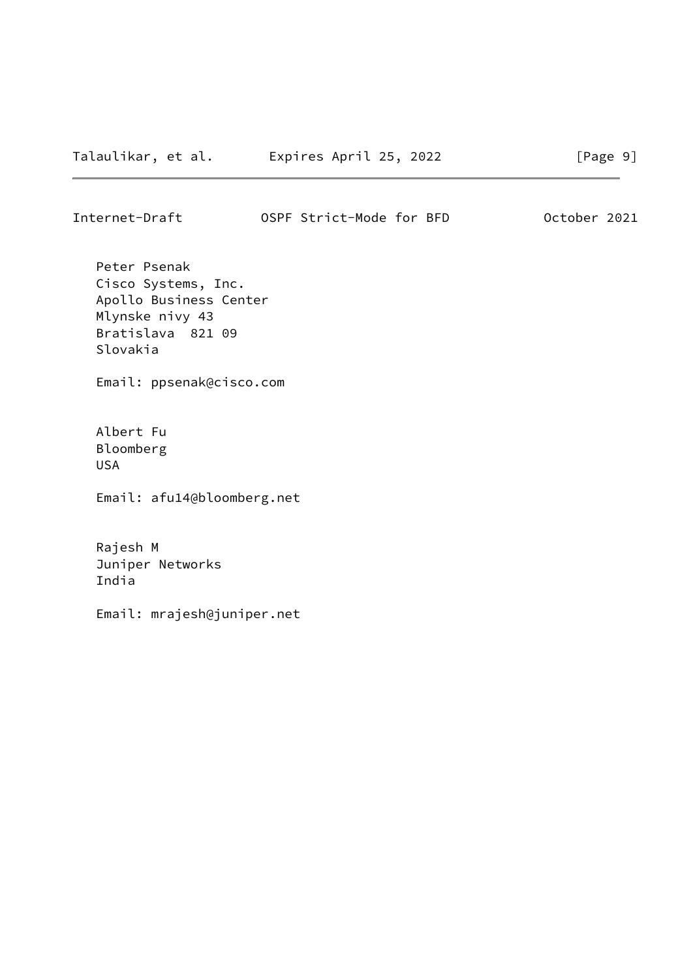Internet-Draft OSPF Strict-Mode for BFD October 2021

 Peter Psenak Cisco Systems, Inc. Apollo Business Center Mlynske nivy 43 Bratislava 821 09 Slovakia

Email: ppsenak@cisco.com

 Albert Fu Bloomberg USA

Email: afu14@bloomberg.net

 Rajesh M Juniper Networks India

Email: mrajesh@juniper.net